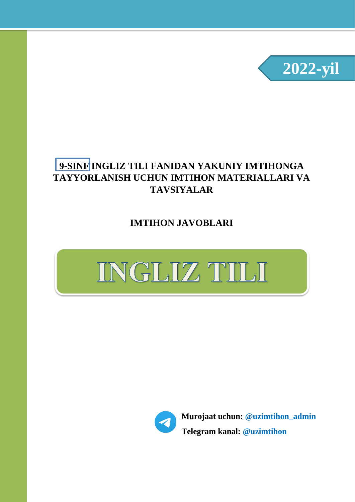

### **9-SINF INGLIZ TILI FANIDAN YAKUNIY IMTIHONGA TAYYORLANISH UCHUN IMTIHON MATERIALLARI VA TAVSIYALAR**

**IMTIHON JAVOBLARI**





**Murojaat uchun: @uzimtihon\_admin Telegram kanal: @uzimtihon**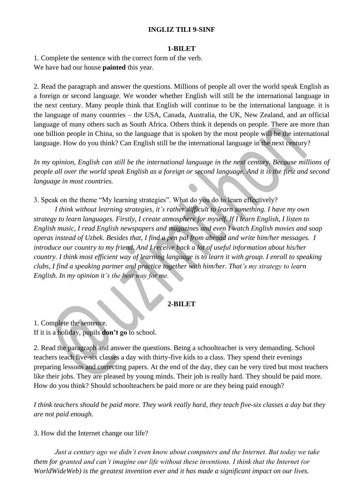#### **INGLIZ TILI 9-SINF**

#### **1-BILET**

1. Complete the sentence with the correct form of the verb. We have had our house **painted** this year.

2. Read the paragraph and answer the questions. Millions of people all over the world speak English as a foreign or second language. We wonder whether English will still be the international language in the next century. Many people think that English will continue to be the international language. it is the language of many countries – the USA, Canada, Australia, the UK, New Zealand, and an official language of many others such as South Africa. Others think it depends on people. There are more than one billion people in China, so the language that is spoken by the most people will be the international language. How do you think? Can English still be the international language in the next century?

*In my opinion, English can still be the international language in the next century. Because millions of people all over the world speak English as a foreign or second language. And it is the first and second language in most countries.*

3. Speak on the theme "My learning strategies". What do you do to learn effectively?

*I think without learning strategies, it's rather difficult to learn something. I have my own strategy to learn languages. Firstly, I create atmosphere for myself. If I learn English, I listen to English music, I read English newspapers and magazines and even I watch English movies and soap operas instead of Uzbek. Besides that, I find a pen pal from abroad and write him/her messages. I introduce our country to my friend. And I receive back a lot of useful information about his/her country. I think most efficient way of learning language is to learn it with group. I enroll to speaking clubs, I find a speaking partner and practice together with him/her. That's my strategy to learn English. In my opinion it's the best way for me.*

#### **2-BILET**

1. Complete the sentence. If it is a holiday, pupils **don't go** to school.

2. Read the paragraph and answer the questions. Being a schoolteacher is very demanding. School teachers teach five-six classes a day with thirty-five kids to a class. They spend their evenings preparing lessons and correcting papers. At the end of the day, they can be very tired but most teachers like their jobs. They are pleased by young minds. Their job is really hard. They should be paid more. How do you think? Should schoolteachers be paid more or are they being paid enough?

*I think teachers should be paid more. They work really hard, they teach five-six classes a day but they are not paid enough.*

3. How did the Internet change our life?

*Just a century ago we didn't even know about computers and the Internet. But today we take them for granted and can't imagine our life without these inventions. I think that the Internet (or WorldWideWeb) is the greatest invention ever and it has made a significant impact on our lives.*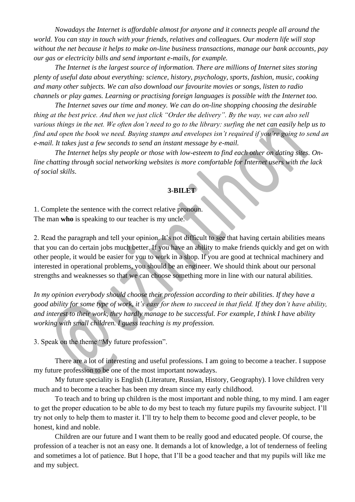*Nowadays the Internet is affordable almost for anyone and it connects people all around the world. You can stay in touch with your friends, relatives and colleagues. Our modern life will stop without the net because it helps to make on-line business transactions, manage our bank accounts, pay our gas or electricity bills and send important e-mails, for example.*

*The Internet is the largest source of information. There are millions of Internet sites storing plenty of useful data about everything: science, history, psychology, sports, fashion, music, cooking and many other subjects. We can also download our favourite movies or songs, listen to radio channels or play games. Learning or practising foreign languages is possible with the Internet too.*

*The Internet saves our time and money. We can do on-line shopping choosing the desirable thing at the best price. And then we just click "Order the delivery". By the way, we can also sell various things in the net. We often don't need to go to the library: surfing the net can easily help us to find and open the book we need. Buying stamps and envelopes isn't required if you're going to send an e-mail. It takes just a few seconds to send an instant message by e-mail.*

*The Internet helps shy people or those with low-esteem to find each other on dating sites. Online chatting through social networking websites is more comfortable for Internet users with the lack of social skills*.

### **3-BILET**

1. Complete the sentence with the correct relative pronoun. The man **who** is speaking to our teacher is my uncle.

2. Read the paragraph and tell your opinion. It's not difficult to see that having certain abilities means that you can do certain jobs much better. If you have an ability to make friends quickly and get on with other people, it would be easier for you to work in a shop. If you are good at technical machinery and interested in operational problems, you should be an engineer. We should think about our personal strengths and weaknesses so that we can choose something more in line with our natural abilities.

*In my opinion everybody should choose their profession according to their abilities. If they have a good ability for some type of work, it's easy for them to succeed in that field. If they don't have ability, and interest to their work, they hardly manage to be successful. For example, I think I have ability working with small children. I guess teaching is my profession.*

3. Speak on the theme "My future profession".

There are a lot of interesting and useful professions. I am going to become a teacher. I suppose my future profession to be one of the most important nowadays.

My future speciality is English (Literature, Russian, History, Geography). I love children very much and to become a teacher has been my dream since my early childhood.

To teach and to bring up children is the most important and noble thing, to my mind. I am eager to get the proper education to be able to do my best to teach my future pupils my favourite subject. I'll try not only to help them to master it. I'll try to help them to become good and clever people, to be honest, kind and noble.

Children are our future and I want them to be really good and educated people. Of course, the profession of a teacher is not an easy one. It demands a lot of knowledge, a lot of tenderness of feeling and sometimes a lot of patience. But I hope, that I'll be a good teacher and that my pupils will like me and my subject.